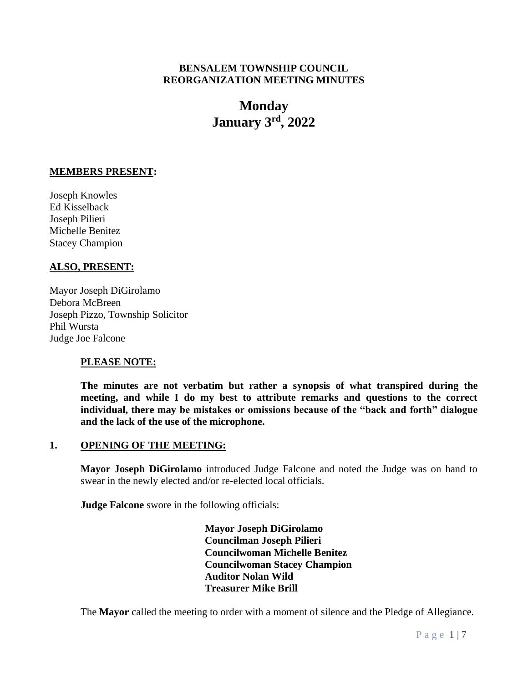## **BENSALEM TOWNSHIP COUNCIL REORGANIZATION MEETING MINUTES**

# **Monday January 3 rd , 2022**

## **MEMBERS PRESENT:**

Joseph Knowles Ed Kisselback Joseph Pilieri Michelle Benitez Stacey Champion

## **ALSO, PRESENT:**

Mayor Joseph DiGirolamo Debora McBreen Joseph Pizzo, Township Solicitor Phil Wursta Judge Joe Falcone

## **PLEASE NOTE:**

**The minutes are not verbatim but rather a synopsis of what transpired during the meeting, and while I do my best to attribute remarks and questions to the correct individual, there may be mistakes or omissions because of the "back and forth" dialogue and the lack of the use of the microphone.**

## **1. OPENING OF THE MEETING:**

**Mayor Joseph DiGirolamo** introduced Judge Falcone and noted the Judge was on hand to swear in the newly elected and/or re-elected local officials.

**Judge Falcone** swore in the following officials:

**Mayor Joseph DiGirolamo Councilman Joseph Pilieri Councilwoman Michelle Benitez Councilwoman Stacey Champion Auditor Nolan Wild Treasurer Mike Brill**

The **Mayor** called the meeting to order with a moment of silence and the Pledge of Allegiance.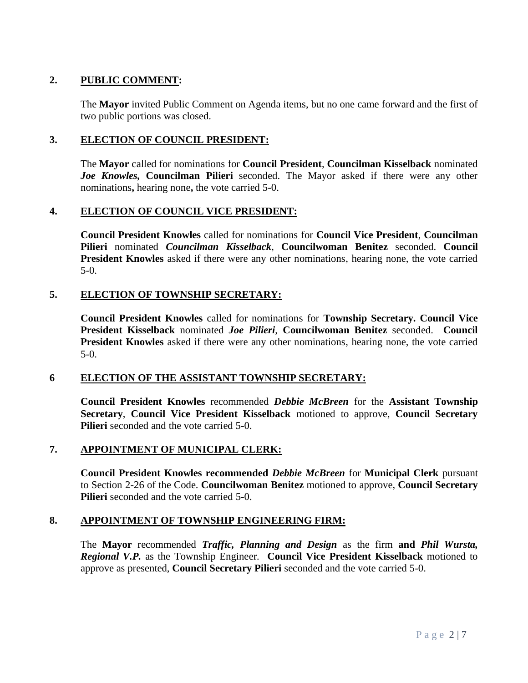# **2. PUBLIC COMMENT:**

The **Mayor** invited Public Comment on Agenda items, but no one came forward and the first of two public portions was closed.

## **3. ELECTION OF COUNCIL PRESIDENT:**

The **Mayor** called for nominations for **Council President**, **Councilman Kisselback** nominated *Joe Knowles,* **Councilman Pilieri** seconded. The Mayor asked if there were any other nominations**,** hearing none**,** the vote carried 5-0.

## **4. ELECTION OF COUNCIL VICE PRESIDENT:**

**Council President Knowles** called for nominations for **Council Vice President**, **Councilman Pilieri** nominated *Councilman Kisselback*, **Councilwoman Benitez** seconded. **Council President Knowles** asked if there were any other nominations, hearing none, the vote carried 5-0.

## **5. ELECTION OF TOWNSHIP SECRETARY:**

**Council President Knowles** called for nominations for **Township Secretary. Council Vice President Kisselback** nominated *Joe Pilieri*, **Councilwoman Benitez** seconded. **Council President Knowles** asked if there were any other nominations, hearing none, the vote carried 5-0.

## **6 ELECTION OF THE ASSISTANT TOWNSHIP SECRETARY:**

**Council President Knowles** recommended *Debbie McBreen* for the **Assistant Township Secretary**, **Council Vice President Kisselback** motioned to approve, **Council Secretary Pilieri** seconded and the vote carried 5-0.

## **7. APPOINTMENT OF MUNICIPAL CLERK:**

**Council President Knowles recommended** *Debbie McBreen* for **Municipal Clerk** pursuant to Section 2-26 of the Code. **Councilwoman Benitez** motioned to approve, **Council Secretary Pilieri** seconded and the vote carried 5-0.

## **8. APPOINTMENT OF TOWNSHIP ENGINEERING FIRM:**

The **Mayor** recommended *Traffic, Planning and Design* as the firm **and** *Phil Wursta, Regional V.P.* as the Township Engineer*.* **Council Vice President Kisselback** motioned to approve as presented, **Council Secretary Pilieri** seconded and the vote carried 5-0.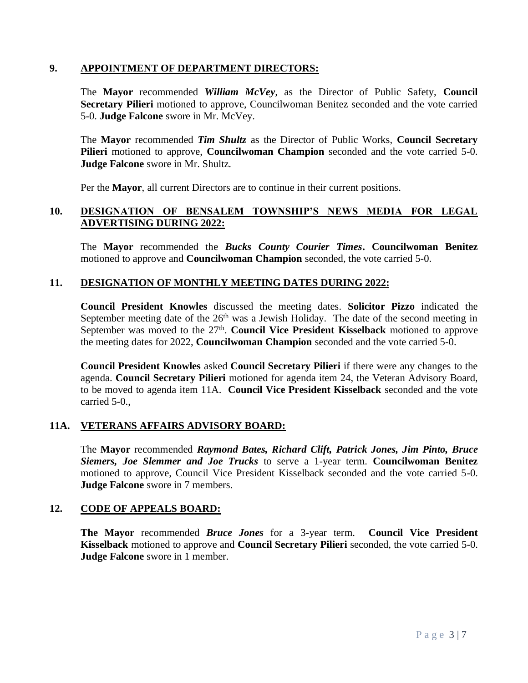### **9. APPOINTMENT OF DEPARTMENT DIRECTORS:**

The **Mayor** recommended *William McVey,* as the Director of Public Safety, **Council Secretary Pilieri** motioned to approve, Councilwoman Benitez seconded and the vote carried 5-0. **Judge Falcone** swore in Mr. McVey.

The **Mayor** recommended *Tim Shultz* as the Director of Public Works, **Council Secretary Pilieri** motioned to approve, **Councilwoman Champion** seconded and the vote carried 5-0. **Judge Falcone** swore in Mr. Shultz.

Per the **Mayor**, all current Directors are to continue in their current positions.

## **10. DESIGNATION OF BENSALEM TOWNSHIP'S NEWS MEDIA FOR LEGAL ADVERTISING DURING 2022:**

The **Mayor** recommended the *Bucks County Courier Times***. Councilwoman Benitez** motioned to approve and **Councilwoman Champion** seconded, the vote carried 5-0.

#### **11. DESIGNATION OF MONTHLY MEETING DATES DURING 2022:**

**Council President Knowles** discussed the meeting dates. **Solicitor Pizzo** indicated the September meeting date of the  $26<sup>th</sup>$  was a Jewish Holiday. The date of the second meeting in September was moved to the 27<sup>th</sup>. Council Vice President Kisselback motioned to approve the meeting dates for 2022, **Councilwoman Champion** seconded and the vote carried 5-0.

**Council President Knowles** asked **Council Secretary Pilieri** if there were any changes to the agenda. **Council Secretary Pilieri** motioned for agenda item 24, the Veteran Advisory Board, to be moved to agenda item 11A. **Council Vice President Kisselback** seconded and the vote carried 5-0.,

#### **11A. VETERANS AFFAIRS ADVISORY BOARD:**

The **Mayor** recommended *Raymond Bates, Richard Clift, Patrick Jones, Jim Pinto, Bruce Siemers, Joe Slemmer and Joe Trucks* to serve a 1-year term. **Councilwoman Benitez** motioned to approve, Council Vice President Kisselback seconded and the vote carried 5-0. **Judge Falcone** swore in 7 members.

#### **12. CODE OF APPEALS BOARD:**

**The Mayor** recommended *Bruce Jones* for a 3-year term. **Council Vice President Kisselback** motioned to approve and **Council Secretary Pilieri** seconded, the vote carried 5-0. **Judge Falcone** swore in 1 member.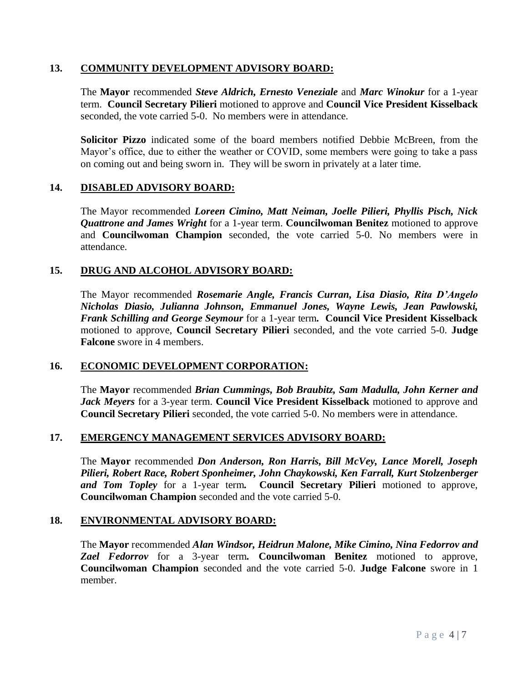### **13. COMMUNITY DEVELOPMENT ADVISORY BOARD:**

The **Mayor** recommended *Steve Aldrich, Ernesto Veneziale* and *Marc Winokur* for a 1-year term. **Council Secretary Pilieri** motioned to approve and **Council Vice President Kisselback** seconded, the vote carried 5-0.No members were in attendance.

**Solicitor Pizzo** indicated some of the board members notified Debbie McBreen, from the Mayor's office, due to either the weather or COVID, some members were going to take a pass on coming out and being sworn in. They will be sworn in privately at a later time.

## **14. DISABLED ADVISORY BOARD:**

The Mayor recommended *Loreen Cimino, Matt Neiman, Joelle Pilieri, Phyllis Pisch, Nick Quattrone and James Wright* for a 1-year term. **Councilwoman Benitez** motioned to approve and **Councilwoman Champion** seconded, the vote carried 5-0. No members were in attendance.

#### **15. DRUG AND ALCOHOL ADVISORY BOARD:**

The Mayor recommended *Rosemarie Angle, Francis Curran, Lisa Diasio, Rita D'Angelo Nicholas Diasio, Julianna Johnson, Emmanuel Jones, Wayne Lewis, Jean Pawlowski, Frank Schilling and George Seymour* for a 1-year term*.* **Council Vice President Kisselback** motioned to approve, **Council Secretary Pilieri** seconded, and the vote carried 5-0. **Judge Falcone** swore in 4 members.

## **16. ECONOMIC DEVELOPMENT CORPORATION:**

The **Mayor** recommended *Brian Cummings, Bob Braubitz, Sam Madulla, John Kerner and Jack Meyers* for a 3-year term. **Council Vice President Kisselback** motioned to approve and **Council Secretary Pilieri** seconded, the vote carried 5-0. No members were in attendance.

#### **17. EMERGENCY MANAGEMENT SERVICES ADVISORY BOARD:**

The **Mayor** recommended *Don Anderson, Ron Harris, Bill McVey, Lance Morell, Joseph Pilieri, Robert Race, Robert Sponheimer, John Chaykowski, Ken Farrall, Kurt Stolzenberger and Tom Topley* for a 1-year term*.* **Council Secretary Pilieri** motioned to approve, **Councilwoman Champion** seconded and the vote carried 5-0.

#### **18. ENVIRONMENTAL ADVISORY BOARD:**

The **Mayor** recommended *Alan Windsor, Heidrun Malone, Mike Cimino, Nina Fedorrov and Zael Fedorrov* for a 3-year term*.* **Councilwoman Benitez** motioned to approve, **Councilwoman Champion** seconded and the vote carried 5-0. **Judge Falcone** swore in 1 member.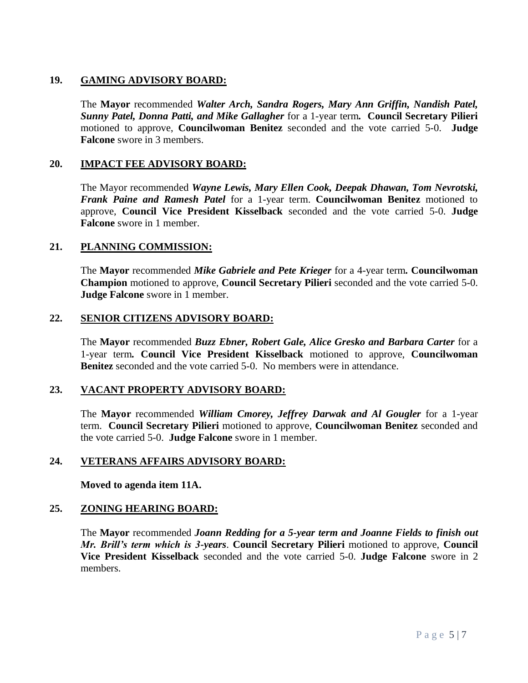# **19. GAMING ADVISORY BOARD:**

The **Mayor** recommended *Walter Arch, Sandra Rogers, Mary Ann Griffin, Nandish Patel, Sunny Patel, Donna Patti, and Mike Gallagher* for a 1-year term*.* **Council Secretary Pilieri**  motioned to approve, **Councilwoman Benitez** seconded and the vote carried 5-0. **Judge Falcone** swore in 3 members.

## **20. IMPACT FEE ADVISORY BOARD:**

The Mayor recommended *Wayne Lewis, Mary Ellen Cook, Deepak Dhawan, Tom Nevrotski, Frank Paine and Ramesh Patel* for a 1-year term. **Councilwoman Benitez** motioned to approve, **Council Vice President Kisselback** seconded and the vote carried 5-0. **Judge Falcone** swore in 1 member.

## **21. PLANNING COMMISSION:**

The **Mayor** recommended *Mike Gabriele and Pete Krieger* for a 4-year term*.* **Councilwoman Champion** motioned to approve, **Council Secretary Pilieri** seconded and the vote carried 5-0. **Judge Falcone** swore in 1 member.

## **22. SENIOR CITIZENS ADVISORY BOARD:**

The **Mayor** recommended *Buzz Ebner, Robert Gale, Alice Gresko and Barbara Carter* for a 1-year term*.* **Council Vice President Kisselback** motioned to approve, **Councilwoman Benitez** seconded and the vote carried 5-0. No members were in attendance.

## **23. VACANT PROPERTY ADVISORY BOARD:**

The **Mayor** recommended *William Cmorey, Jeffrey Darwak and Al Gougler* for a 1-year term. **Council Secretary Pilieri** motioned to approve, **Councilwoman Benitez** seconded and the vote carried 5-0. **Judge Falcone** swore in 1 member.

## **24. VETERANS AFFAIRS ADVISORY BOARD:**

**Moved to agenda item 11A.**

## **25. ZONING HEARING BOARD:**

The **Mayor** recommended *Joann Redding for a 5-year term and Joanne Fields to finish out Mr. Brill's term which is 3-years*. **Council Secretary Pilieri** motioned to approve, **Council Vice President Kisselback** seconded and the vote carried 5-0. **Judge Falcone** swore in 2 members.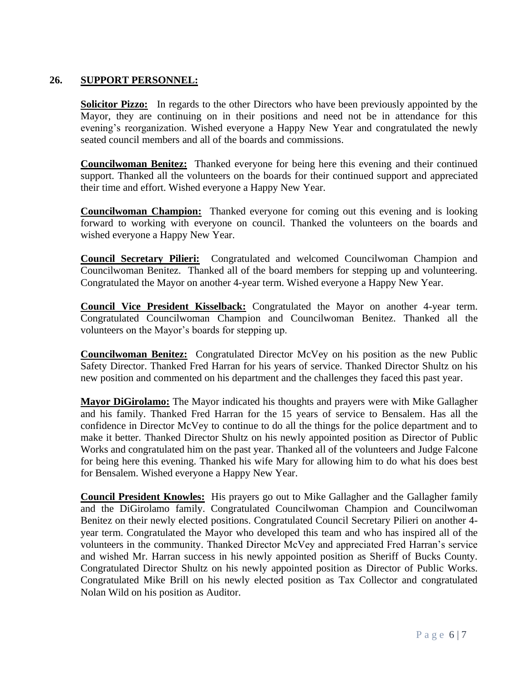# **26. SUPPORT PERSONNEL:**

**Solicitor Pizzo:** In regards to the other Directors who have been previously appointed by the Mayor, they are continuing on in their positions and need not be in attendance for this evening's reorganization. Wished everyone a Happy New Year and congratulated the newly seated council members and all of the boards and commissions.

**Councilwoman Benitez:** Thanked everyone for being here this evening and their continued support. Thanked all the volunteers on the boards for their continued support and appreciated their time and effort. Wished everyone a Happy New Year.

**Councilwoman Champion:** Thanked everyone for coming out this evening and is looking forward to working with everyone on council. Thanked the volunteers on the boards and wished everyone a Happy New Year.

**Council Secretary Pilieri:** Congratulated and welcomed Councilwoman Champion and Councilwoman Benitez. Thanked all of the board members for stepping up and volunteering. Congratulated the Mayor on another 4-year term. Wished everyone a Happy New Year.

**Council Vice President Kisselback:** Congratulated the Mayor on another 4-year term. Congratulated Councilwoman Champion and Councilwoman Benitez. Thanked all the volunteers on the Mayor's boards for stepping up.

**Councilwoman Benitez:** Congratulated Director McVey on his position as the new Public Safety Director. Thanked Fred Harran for his years of service. Thanked Director Shultz on his new position and commented on his department and the challenges they faced this past year.

**Mayor DiGirolamo:** The Mayor indicated his thoughts and prayers were with Mike Gallagher and his family. Thanked Fred Harran for the 15 years of service to Bensalem. Has all the confidence in Director McVey to continue to do all the things for the police department and to make it better. Thanked Director Shultz on his newly appointed position as Director of Public Works and congratulated him on the past year. Thanked all of the volunteers and Judge Falcone for being here this evening. Thanked his wife Mary for allowing him to do what his does best for Bensalem. Wished everyone a Happy New Year.

**Council President Knowles:** His prayers go out to Mike Gallagher and the Gallagher family and the DiGirolamo family. Congratulated Councilwoman Champion and Councilwoman Benitez on their newly elected positions. Congratulated Council Secretary Pilieri on another 4 year term. Congratulated the Mayor who developed this team and who has inspired all of the volunteers in the community. Thanked Director McVey and appreciated Fred Harran's service and wished Mr. Harran success in his newly appointed position as Sheriff of Bucks County. Congratulated Director Shultz on his newly appointed position as Director of Public Works. Congratulated Mike Brill on his newly elected position as Tax Collector and congratulated Nolan Wild on his position as Auditor.